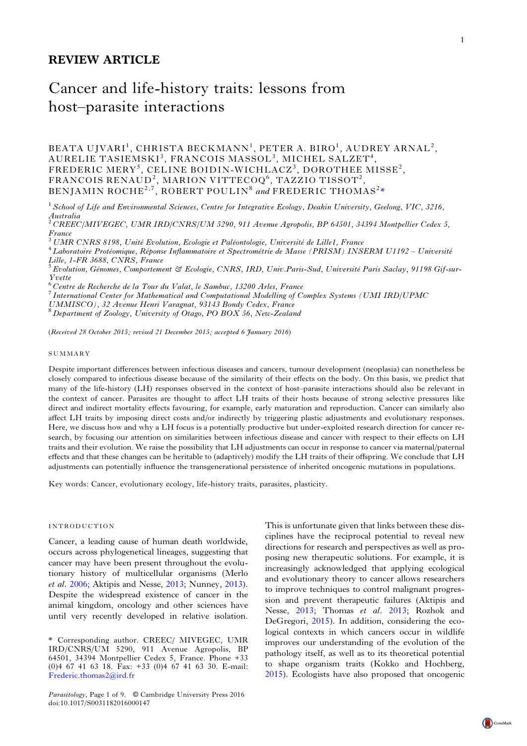# REVIEW ARTICLE

# Cancer and life-history traits: lessons from host–parasite interactions

BEATA UJVARI<sup>1</sup>, CHRISTA BECKMANN<sup>1</sup>, PETER A. BIRO<sup>1</sup>, AUDREY ARNAL<sup>2</sup>,  $\mathrm{AURELIE\;TASIEMSKI}^3,\ \mathrm{FRANCOIS\;MASSOL}^3,\ \mathrm{MICHEL\;SALZET}^4,$ FREDERIC MERY<sup>5</sup>, CELINE BOIDIN-WICHLACZ<sup>3</sup>, DOROTHEE MISSE<sup>2</sup>, FRANCOIS RENAUD<sup>2</sup>, MARION VITTECOQ<sup>6</sup>, TAZZIO TISSOT<sup>2</sup>, BENJAMIN ROCHE<sup>2,7</sup>, ROBERT POULIN<sup>8</sup> and FREDERIC THOMAS<sup>2</sup>\*

<sup>1</sup> School of Life and Environmental Sciences, Centre for Integrative Ecology, Deakin University, Geelong, VIC, 3216, Australia<br><sup>2</sup> CREEC/MIVEGEC, UMR IRD/CNRS/UM 5290, 911 Avenue Agropolis, BP 64501, 34394 Montpellier Cedex 5,

France<br><sup>3</sup> UMR CNRS 8198, Unité Evolution, Ecologie et Paléontologie, Université de Lille1, France<br><sup>4</sup> Laboratoire Protéomique, Réponse Inflammatoire et Spectrométrie de Masse (PRISM) INSERM U1192 – Université

Lille, 1-FR 3688, CNRS, France<br><sup>5</sup> Evolution, Génomes, Comportement & Ecologie, CNRS, IRD, Univ.Paris-Sud, Université Paris Saclay, 91198 Gif-sur-

Yvette<br><sup>6</sup> Centre de Recherche de la Tour du Valat, le Sambuc, 13200 Arles, France

FURECHERCHE DETERTIONS CENTRE DETERTOIRED AT THE TOUR DURIES OF COMPUTER DU VALUATION OF THE TOUR DURIES TO MATHEMATICAL THE PROPERTY OF MATHEMATICAL SUPPORT OF MATHEMATICAL SUPPORTY OF THE PROPERTY OF THE SYSTEMS OF THE P

UMMISCO), 32 Avenue Henri Varagnat, 93143 Bondy Cedex, France<br><sup>8</sup> Department of Zoology, University of Otago, PO BOX 56, New-Zealand

(Received 28 October 2015; revised 21 December 2015; accepted 6 January 2016)

#### SUMMARY

Despite important differences between infectious diseases and cancers, tumour development (neoplasia) can nonetheless be closely compared to infectious disease because of the similarity of their effects on the body. On this basis, we predict that many of the life-history (LH) responses observed in the context of host–parasite interactions should also be relevant in the context of cancer. Parasites are thought to affect LH traits of their hosts because of strong selective pressures like direct and indirect mortality effects favouring, for example, early maturation and reproduction. Cancer can similarly also affect LH traits by imposing direct costs and/or indirectly by triggering plastic adjustments and evolutionary responses. Here, we discuss how and why a LH focus is a potentially productive but under-exploited research direction for cancer research, by focusing our attention on similarities between infectious disease and cancer with respect to their effects on LH traits and their evolution. We raise the possibility that LH adjustments can occur in response to cancer via maternal/paternal effects and that these changes can be heritable to (adaptively) modify the LH traits of their offspring. We conclude that LH adjustments can potentially influence the transgenerational persistence of inherited oncogenic mutations in populations.

Key words: Cancer, evolutionary ecology, life-history traits, parasites, plasticity.

### INTRODUCTION

Cancer, a leading cause of human death worldwide, occurs across phylogenetical lineages, suggesting that cancer may have been present throughout the evolutionary history of multicellular organisms (Merlo et al. [2006;](#page-7-0) Aktipis and Nesse, [2013;](#page-6-0) Nunney, [2013](#page-7-0)). Despite the widespread existence of cancer in the animal kingdom, oncology and other sciences have until very recently developed in relative isolation.

\* Corresponding author. CREEC/ MIVEGEC, UMR IRD/CNRS/UM 5290, 911 Avenue Agropolis, BP 64501, 34394 Montpellier Cedex 5, France. Phone +33 (0)4 67 41 63 18. Fax: +33 (0)4 67 41 63 30. E-mail: [Frederic.thomas2@ird.fr](mailto:Frederic.thomas2@ird.fr)

Parasitology, Page 1 of 9. © Cambridge University Press 2016 doi:10.1017/S0031182016000147

This is unfortunate given that links between these disciplines have the reciprocal potential to reveal new directions for research and perspectives as well as proposing new therapeutic solutions. For example, it is increasingly acknowledged that applying ecological and evolutionary theory to cancer allows researchers to improve techniques to control malignant progression and prevent therapeutic failures (Aktipis and Nesse, [2013](#page-6-0); Thomas et al. [2013](#page-7-0); Rozhok and DeGregori, [2015](#page-7-0)). In addition, considering the ecological contexts in which cancers occur in wildlife improves our understanding of the evolution of the pathology itself, as well as to its theoretical potential to shape organism traits (Kokko and Hochberg, [2015\)](#page-7-0). Ecologists have also proposed that oncogenic

1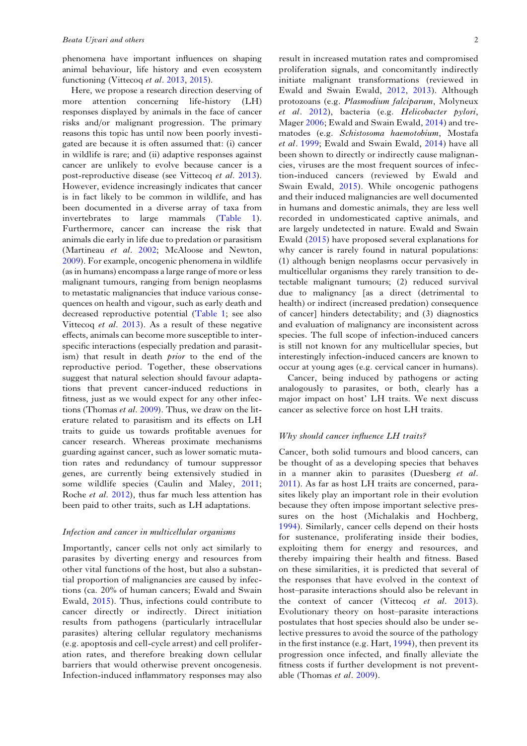phenomena have important influences on shaping animal behaviour, life history and even ecosystem functioning (Vittecoq et al. [2013,](#page-7-0) [2015\)](#page-8-0).

Here, we propose a research direction deserving of more attention concerning life-history (LH) responses displayed by animals in the face of cancer risks and/or malignant progression. The primary reasons this topic has until now been poorly investigated are because it is often assumed that: (i) cancer in wildlife is rare; and (ii) adaptive responses against cancer are unlikely to evolve because cancer is a post-reproductive disease (see Vittecoq et al. [2013\)](#page-7-0). However, evidence increasingly indicates that cancer is in fact likely to be common in wildlife, and has been documented in a diverse array of taxa from invertebrates to large mammals [\(Table 1\)](#page-2-0). Furthermore, cancer can increase the risk that animals die early in life due to predation or parasitism (Martineau et al. [2002;](#page-7-0) McAloose and Newton, [2009\)](#page-7-0). For example, oncogenic phenomena in wildlife (as in humans) encompass a large range of more or less malignant tumours, ranging from benign neoplasms to metastatic malignancies that induce various consequences on health and vigour, such as early death and decreased reproductive potential [\(Table 1;](#page-2-0) see also Vittecoq et al. [2013](#page-7-0)). As a result of these negative effects, animals can become more susceptible to interspecific interactions (especially predation and parasitism) that result in death *prior* to the end of the reproductive period. Together, these observations suggest that natural selection should favour adaptations that prevent cancer-induced reductions in fitness, just as we would expect for any other infections (Thomas et al. [2009](#page-7-0)). Thus, we draw on the literature related to parasitism and its effects on LH traits to guide us towards profitable avenues for cancer research. Whereas proximate mechanisms guarding against cancer, such as lower somatic mutation rates and redundancy of tumour suppressor genes, are currently being extensively studied in some wildlife species (Caulin and Maley, [2011;](#page-6-0) Roche et al. [2012\)](#page-7-0), thus far much less attention has been paid to other traits, such as LH adaptations.

## Infection and cancer in multicellular organisms

Importantly, cancer cells not only act similarly to parasites by diverting energy and resources from other vital functions of the host, but also a substantial proportion of malignancies are caused by infections (ca. 20% of human cancers; Ewald and Swain Ewald, [2015](#page-6-0)). Thus, infections could contribute to cancer directly or indirectly. Direct initiation results from pathogens (particularly intracellular parasites) altering cellular regulatory mechanisms (e.g. apoptosis and cell-cycle arrest) and cell proliferation rates, and therefore breaking down cellular barriers that would otherwise prevent oncogenesis. Infection-induced inflammatory responses may also

result in increased mutation rates and compromised proliferation signals, and concomitantly indirectly initiate malignant transformations (reviewed in Ewald and Swain Ewald, [2012](#page-6-0), [2013](#page-6-0)). Although protozoans (e.g. Plasmodium falciparum, Molyneux et al. [2012](#page-7-0)), bacteria (e.g. Helicobacter pylori, Mager [2006](#page-7-0); Ewald and Swain Ewald, [2014](#page-6-0)) and trematodes (e.g. Schistosoma haemotobium, Mostafa et al. [1999](#page-7-0); Ewald and Swain Ewald, [2014\)](#page-6-0) have all been shown to directly or indirectly cause malignancies, viruses are the most frequent sources of infection-induced cancers (reviewed by Ewald and Swain Ewald, [2015](#page-6-0)). While oncogenic pathogens and their induced malignancies are well documented in humans and domestic animals, they are less well recorded in undomesticated captive animals, and are largely undetected in nature. Ewald and Swain Ewald [\(2015\)](#page-6-0) have proposed several explanations for why cancer is rarely found in natural populations: (1) although benign neoplasms occur pervasively in multicellular organisms they rarely transition to detectable malignant tumours; (2) reduced survival due to malignancy [as a direct (detrimental to health) or indirect (increased predation) consequence of cancer] hinders detectability; and (3) diagnostics and evaluation of malignancy are inconsistent across species. The full scope of infection-induced cancers is still not known for any multicellular species, but interestingly infection-induced cancers are known to occur at young ages (e.g. cervical cancer in humans).

Cancer, being induced by pathogens or acting analogously to parasites, or both, clearly has a major impact on host' LH traits. We next discuss cancer as selective force on host LH traits.

#### Why should cancer influence LH traits?

Cancer, both solid tumours and blood cancers, can be thought of as a developing species that behaves in a manner akin to parasites (Duesberg et al. [2011\)](#page-6-0). As far as host LH traits are concerned, parasites likely play an important role in their evolution because they often impose important selective pressures on the host (Michalakis and Hochberg, [1994\)](#page-7-0). Similarly, cancer cells depend on their hosts for sustenance, proliferating inside their bodies, exploiting them for energy and resources, and thereby impairing their health and fitness. Based on these similarities, it is predicted that several of the responses that have evolved in the context of host–parasite interactions should also be relevant in the context of cancer (Vittecoq *et al.* [2013](#page-7-0)). Evolutionary theory on host–parasite interactions postulates that host species should also be under selective pressures to avoid the source of the pathology in the first instance (e.g. Hart, [1994](#page-6-0)), then prevent its progression once infected, and finally alleviate the fitness costs if further development is not preventable (Thomas et al. [2009](#page-7-0)).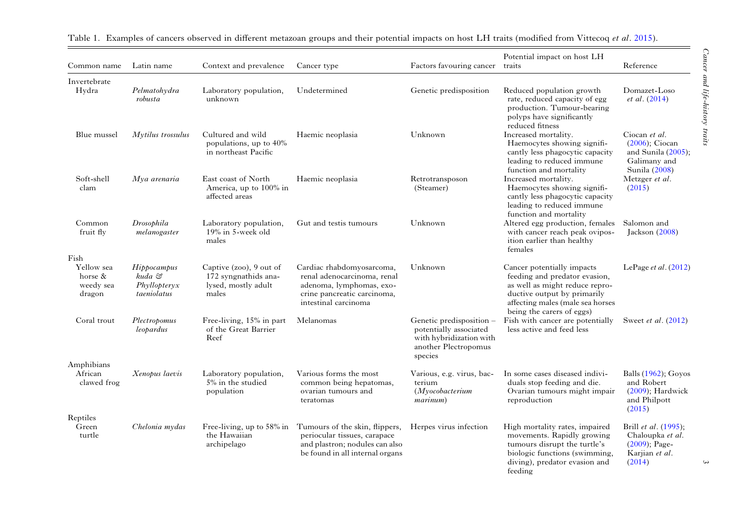| Common name                                             | Latin name                                           | Context and prevalence                                                          | Cancer type                                                                                                                                 | Factors favouring cancer traits                                                                                  | Potential impact on host LH                                                                                                                                                                   | Reference                                                                                 |
|---------------------------------------------------------|------------------------------------------------------|---------------------------------------------------------------------------------|---------------------------------------------------------------------------------------------------------------------------------------------|------------------------------------------------------------------------------------------------------------------|-----------------------------------------------------------------------------------------------------------------------------------------------------------------------------------------------|-------------------------------------------------------------------------------------------|
| Invertebrate<br>Hydra                                   | Pelmatohydra<br>robusta                              | Laboratory population,<br>unknown                                               | Undetermined                                                                                                                                | Genetic predisposition                                                                                           | Reduced population growth<br>rate, reduced capacity of egg<br>production. Tumour-bearing<br>polyps have significantly<br>reduced fitness                                                      | Domazet-Loso<br>et al. (2014)                                                             |
| Blue mussel                                             | Mytilus trossulus                                    | Cultured and wild<br>populations, up to 40%<br>in northeast Pacific             | Haemic neoplasia                                                                                                                            | Unknown                                                                                                          | Increased mortality.<br>Haemocytes showing signifi-<br>cantly less phagocytic capacity<br>leading to reduced immune<br>function and mortality                                                 | Ciocan et al.<br>$(2006)$ ; Ciocan<br>and Sunila (2005);<br>Galimany and<br>Sunila (2008) |
| Soft-shell<br>clam                                      | Mya arenaria                                         | East coast of North<br>America, up to 100% in<br>affected areas                 | Haemic neoplasia                                                                                                                            | Retrotransposon<br>(Steamer)                                                                                     | Increased mortality.<br>Haemocytes showing signifi-<br>cantly less phagocytic capacity<br>leading to reduced immune<br>function and mortality                                                 | Metzger et al.<br>(2015)                                                                  |
| Common<br>fruit fly                                     | Drosophila<br>melanogaster                           | Laboratory population,<br>$19\%$ in 5-week old<br>males                         | Gut and testis tumours                                                                                                                      | Unknown                                                                                                          | Altered egg production, females<br>with cancer reach peak ovipos-<br>ition earlier than healthy<br>females                                                                                    | Salomon and<br>Jackson (2008)                                                             |
| Fish<br>Yellow sea<br>horse $\&$<br>weedy sea<br>dragon | Hippocampus<br>kuda &<br>Phyllopteryx<br>taeniolatus | Captive (zoo), 9 out of<br>172 syngnathids ana-<br>lysed, mostly adult<br>males | Cardiac rhabdomyosarcoma,<br>renal adenocarcinoma, renal<br>adenoma, lymphomas, exo-<br>crine pancreatic carcinoma,<br>intestinal carcinoma | Unknown                                                                                                          | Cancer potentially impacts<br>feeding and predator evasion,<br>as well as might reduce repro-<br>ductive output by primarily<br>affecting males (male sea horses<br>being the carers of eggs) | LePage <i>et al.</i> $(2012)$                                                             |
| Coral trout                                             | Plectropomus<br>leopardus                            | Free-living, 15% in part<br>of the Great Barrier<br>Reef                        | Melanomas                                                                                                                                   | Genetic predisposition -<br>potentially associated<br>with hybridization with<br>another Plectropomus<br>species | Fish with cancer are potentially<br>less active and feed less                                                                                                                                 | Sweet <i>et al.</i> (2012)                                                                |
| Amphibians<br>African<br>clawed frog                    | Xenopus laevis                                       | Laboratory population,<br>5% in the studied<br>population                       | Various forms the most<br>common being hepatomas,<br>ovarian tumours and<br>teratomas                                                       | Various, e.g. virus, bac-<br>terium<br>(Myocobacterium)<br>marinum)                                              | In some cases diseased indivi-<br>duals stop feeding and die.<br>Ovarian tumours might impair<br>reproduction                                                                                 | <b>Balls</b> (1962); Goyos<br>and Robert<br>$(2009)$ ; Hardwick<br>and Philpott<br>(2015) |
| Reptiles<br>Green<br>turtle                             | Chelonia mydas                                       | Free-living, up to 58% in<br>the Hawaiian<br>archipelago                        | Tumours of the skin, flippers,<br>periocular tissues, carapace<br>and plastron; nodules can also<br>be found in all internal organs         | Herpes virus infection                                                                                           | High mortality rates, impaired<br>movements. Rapidly growing<br>tumours disrupt the turtle's<br>biologic functions (swimming,<br>diving), predator evasion and<br>feeding                     | Brill et al. (1995);<br>Chaloupka et al.<br>$(2009)$ ; Page-<br>Karjian et al.<br>(2014)  |

<span id="page-2-0"></span>

| Table | txamples of : | f cancers observed in different metazoan s | n groups and their potential impacts on host LH t | $\pm$ traits (modified from Vittecog <i>et al.</i> $\angle$ | 2015) |
|-------|---------------|--------------------------------------------|---------------------------------------------------|-------------------------------------------------------------|-------|
|       |               |                                            |                                                   |                                                             |       |

 $\equiv$ 

 $\mathfrak{c}$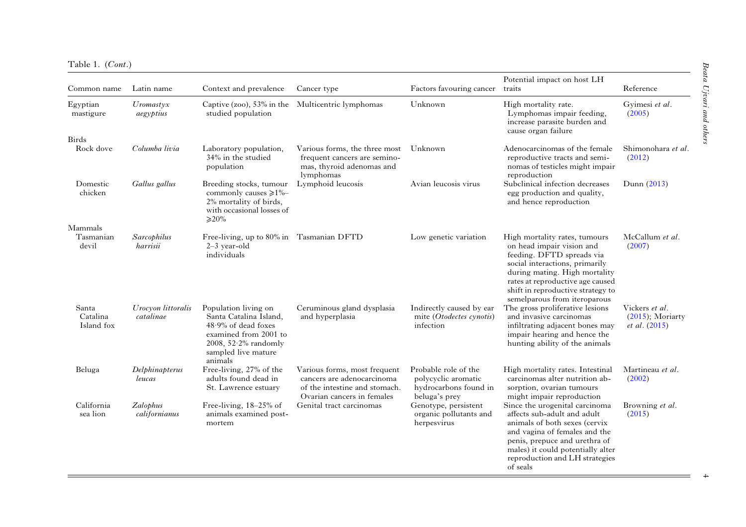| Table 1. | (Cont.) |  |
|----------|---------|--|
|          |         |  |

| Common name                     | Latin name                      | Context and prevalence                                                                                                                                         | Cancer type                                                                                                               | Factors favouring cancer                                                              | Potential impact on host LH<br>traits                                                                                                                                                                                                                               | Reference                                                     |
|---------------------------------|---------------------------------|----------------------------------------------------------------------------------------------------------------------------------------------------------------|---------------------------------------------------------------------------------------------------------------------------|---------------------------------------------------------------------------------------|---------------------------------------------------------------------------------------------------------------------------------------------------------------------------------------------------------------------------------------------------------------------|---------------------------------------------------------------|
| Egyptian<br>mastigure           | $U$ romastyx<br>aegyptius       | studied population                                                                                                                                             | Captive (zoo), 53% in the Multicentric lymphomas                                                                          | Unknown                                                                               | High mortality rate.<br>Lymphomas impair feeding,<br>increase parasite burden and<br>cause organ failure                                                                                                                                                            | Gyimesi et al.<br>(2005)                                      |
| <b>Birds</b><br>Rock dove       | Columba livia                   | Laboratory population,<br>34% in the studied<br>population                                                                                                     | Various forms, the three most<br>frequent cancers are semino-<br>mas, thyroid adenomas and<br>lymphomas                   | Unknown                                                                               | Adenocarcinomas of the female<br>reproductive tracts and semi-<br>nomas of testicles might impair<br>reproduction                                                                                                                                                   | Shimonohara et al.<br>(2012)                                  |
| Domestic<br>chicken             | Gallus gallus                   | Breeding stocks, tumour<br>commonly causes $\geq 1\%$<br>2% mortality of birds,<br>with occasional losses of<br>$\geqslant$ 20%                                | Lymphoid leucosis                                                                                                         | Avian leucosis virus                                                                  | Subclinical infection decreases<br>egg production and quality,<br>and hence reproduction                                                                                                                                                                            | Dunn (2013)                                                   |
| Mammals<br>Tasmanian<br>devil   | Sarcophilus<br>harrisii         | Free-living, up to 80% in Tasmanian DFTD<br>$2-3$ year-old<br>individuals                                                                                      |                                                                                                                           | Low genetic variation                                                                 | High mortality rates, tumours<br>on head impair vision and<br>feeding. DFTD spreads via<br>social interactions, primarily<br>during mating. High mortality<br>rates at reproductive age caused<br>shift in reproductive strategy to<br>semelparous from iteroparous | McCallum et al.<br>(2007)                                     |
| Santa<br>Catalina<br>Island fox | Urocyon littoralis<br>catalinae | Population living on<br>Santa Catalina Island,<br>$48.9\%$ of dead foxes<br>examined from 2001 to<br>2008, $52.2\%$ randomly<br>sampled live mature<br>animals | Ceruminous gland dysplasia<br>and hyperplasia                                                                             | Indirectly caused by ear<br>mite (Otodectes cynotis)<br>infection                     | The gross proliferative lesions<br>and invasive carcinomas<br>infiltrating adjacent bones may<br>impair hearing and hence the<br>hunting ability of the animals                                                                                                     | Vickers et al.<br>$(2015)$ ; Moriarty<br><i>et al.</i> (2015) |
| Beluga                          | Delphinapterus<br>leucas        | Free-living, 27% of the<br>adults found dead in<br>St. Lawrence estuary                                                                                        | Various forms, most frequent<br>cancers are adenocarcinoma<br>of the intestine and stomach.<br>Ovarian cancers in females | Probable role of the<br>polycyclic aromatic<br>hydrocarbons found in<br>beluga's prey | High mortality rates. Intestinal<br>carcinomas alter nutrition ab-<br>sorption, ovarian tumours<br>might impair reproduction                                                                                                                                        | Martineau et al.<br>(2002)                                    |
| California<br>sea lion          | Zalophus<br>californianus       | Free-living, $18-25%$ of<br>animals examined post-<br>mortem                                                                                                   | Genital tract carcinomas                                                                                                  | Genotype, persistent<br>organic pollutants and<br>herpesvirus                         | Since the urogenital carcinoma<br>affects sub-adult and adult<br>animals of both sexes (cervix<br>and vagina of females and the<br>penis, prepuce and urethra of<br>males) it could potentially alter<br>reproduction and LH strategies<br>of seals                 | Browning et al.<br>(2015)                                     |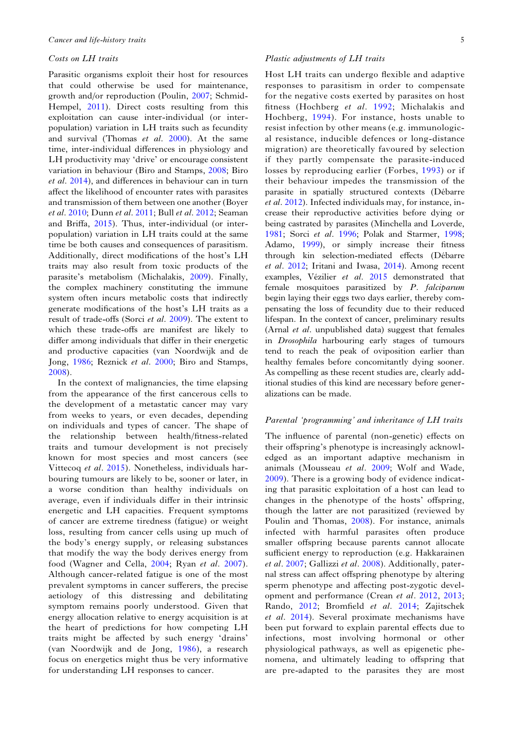#### Costs on LH traits

Parasitic organisms exploit their host for resources that could otherwise be used for maintenance, growth and/or reproduction (Poulin, [2007;](#page-7-0) Schmid-Hempel, [2011\)](#page-7-0). Direct costs resulting from this exploitation can cause inter-individual (or interpopulation) variation in LH traits such as fecundity and survival (Thomas et al. [2000\)](#page-7-0). At the same time, inter-individual differences in physiology and LH productivity may 'drive' or encourage consistent variation in behaviour (Biro and Stamps, [2008;](#page-6-0) Biro et al. [2014](#page-6-0)), and differences in behaviour can in turn affect the likelihood of encounter rates with parasites and transmission of them between one another (Boyer et al. [2010;](#page-6-0) Dunn et al. [2011](#page-6-0); Bull et al. [2012;](#page-6-0) Seaman and Briffa, [2015\)](#page-7-0). Thus, inter-individual (or interpopulation) variation in LH traits could at the same time be both causes and consequences of parasitism. Additionally, direct modifications of the host's LH traits may also result from toxic products of the parasite's metabolism (Michalakis, [2009\)](#page-7-0). Finally, the complex machinery constituting the immune system often incurs metabolic costs that indirectly generate modifications of the host's LH traits as a result of trade-offs (Sorci et al. [2009\)](#page-7-0). The extent to which these trade-offs are manifest are likely to differ among individuals that differ in their energetic and productive capacities (van Noordwijk and de Jong, [1986;](#page-7-0) Reznick et al. [2000](#page-7-0); Biro and Stamps, [2008](#page-6-0)).

In the context of malignancies, the time elapsing from the appearance of the first cancerous cells to the development of a metastatic cancer may vary from weeks to years, or even decades, depending on individuals and types of cancer. The shape of the relationship between health/fitness-related traits and tumour development is not precisely known for most species and most cancers (see Vittecoq et al. [2015](#page-8-0)). Nonetheless, individuals harbouring tumours are likely to be, sooner or later, in a worse condition than healthy individuals on average, even if individuals differ in their intrinsic energetic and LH capacities. Frequent symptoms of cancer are extreme tiredness (fatigue) or weight loss, resulting from cancer cells using up much of the body's energy supply, or releasing substances that modify the way the body derives energy from food (Wagner and Cella, [2004](#page-8-0); Ryan et al. [2007\)](#page-7-0). Although cancer-related fatigue is one of the most prevalent symptoms in cancer sufferers, the precise aetiology of this distressing and debilitating symptom remains poorly understood. Given that energy allocation relative to energy acquisition is at the heart of predictions for how competing LH traits might be affected by such energy 'drains' (van Noordwijk and de Jong, [1986\)](#page-7-0), a research focus on energetics might thus be very informative for understanding LH responses to cancer.

#### Plastic adjustments of LH traits

Host LH traits can undergo flexible and adaptive responses to parasitism in order to compensate for the negative costs exerted by parasites on host fitness (Hochberg et al. [1992](#page-6-0); Michalakis and Hochberg, [1994](#page-7-0)). For instance, hosts unable to resist infection by other means (e.g. immunological resistance, inducible defences or long-distance migration) are theoretically favoured by selection if they partly compensate the parasite-induced losses by reproducing earlier (Forbes, [1993](#page-6-0)) or if their behaviour impedes the transmission of the parasite in spatially structured contexts (Débarre et al. [2012\)](#page-6-0). Infected individuals may, for instance, increase their reproductive activities before dying or being castrated by parasites (Minchella and Loverde, [1981;](#page-7-0) Sorci et al. [1996;](#page-7-0) Polak and Starmer, [1998](#page-7-0); Adamo, [1999](#page-6-0)), or simply increase their fitness through kin selection-mediated effects (Débarre et al. [2012](#page-6-0); Iritani and Iwasa, [2014\)](#page-7-0). Among recent examples, Vézilier et al. [2015](#page-7-0) demonstrated that female mosquitoes parasitized by P. falciparum begin laying their eggs two days earlier, thereby compensating the loss of fecundity due to their reduced lifespan. In the context of cancer, preliminary results (Arnal et al. unpublished data) suggest that females in Drosophila harbouring early stages of tumours tend to reach the peak of oviposition earlier than healthy females before concomitantly dying sooner. As compelling as these recent studies are, clearly additional studies of this kind are necessary before generalizations can be made.

# Parental 'programming' and inheritance of LH traits

The influence of parental (non-genetic) effects on their offspring's phenotype is increasingly acknowledged as an important adaptive mechanism in animals (Mousseau et al. [2009](#page-7-0); Wolf and Wade, [2009](#page-8-0)). There is a growing body of evidence indicating that parasitic exploitation of a host can lead to changes in the phenotype of the hosts' offspring, though the latter are not parasitized (reviewed by Poulin and Thomas, [2008\)](#page-7-0). For instance, animals infected with harmful parasites often produce smaller offspring because parents cannot allocate sufficient energy to reproduction (e.g. Hakkarainen et al. [2007;](#page-6-0) Gallizzi et al. [2008\)](#page-6-0). Additionally, paternal stress can affect offspring phenotype by altering sperm phenotype and affecting post-zygotic development and performance (Crean et al. [2012,](#page-6-0) [2013](#page-6-0); Rando, [2012](#page-7-0); Bromfield et al. [2014;](#page-6-0) Zajitschek et al. [2014](#page-8-0)). Several proximate mechanisms have been put forward to explain parental effects due to infections, most involving hormonal or other physiological pathways, as well as epigenetic phenomena, and ultimately leading to offspring that are pre-adapted to the parasites they are most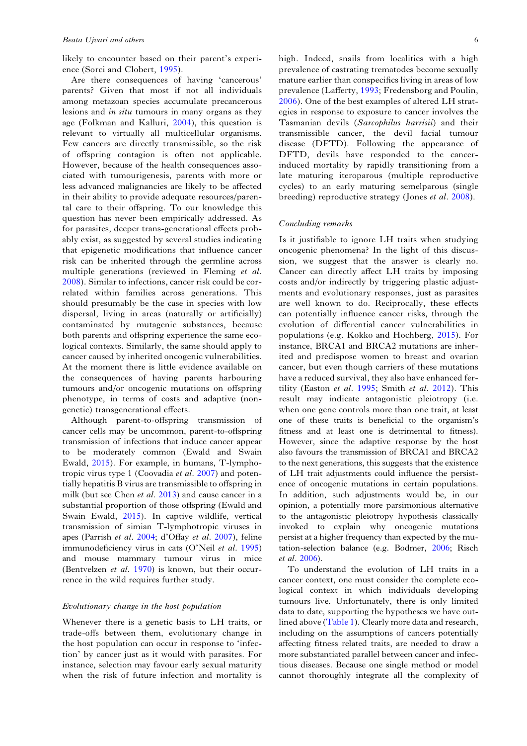likely to encounter based on their parent's experience (Sorci and Clobert, [1995\)](#page-7-0).

Are there consequences of having 'cancerous' parents? Given that most if not all individuals among metazoan species accumulate precancerous lesions and in situ tumours in many organs as they age (Folkman and Kalluri, [2004](#page-6-0)), this question is relevant to virtually all multicellular organisms. Few cancers are directly transmissible, so the risk of offspring contagion is often not applicable. However, because of the health consequences associated with tumourigenesis, parents with more or less advanced malignancies are likely to be affected in their ability to provide adequate resources/parental care to their offspring. To our knowledge this question has never been empirically addressed. As for parasites, deeper trans-generational effects probably exist, as suggested by several studies indicating that epigenetic modifications that influence cancer risk can be inherited through the germline across multiple generations (reviewed in Fleming et al. [2008](#page-6-0)). Similar to infections, cancer risk could be correlated within families across generations. This should presumably be the case in species with low dispersal, living in areas (naturally or artificially) contaminated by mutagenic substances, because both parents and offspring experience the same ecological contexts. Similarly, the same should apply to cancer caused by inherited oncogenic vulnerabilities. At the moment there is little evidence available on the consequences of having parents harbouring tumours and/or oncogenic mutations on offspring phenotype, in terms of costs and adaptive (nongenetic) transgenerational effects.

Although parent-to-offspring transmission of cancer cells may be uncommon, parent-to-offspring transmission of infections that induce cancer appear to be moderately common (Ewald and Swain Ewald, [2015](#page-6-0)). For example, in humans, T-lymphotropic virus type 1 (Coovadia et al. [2007\)](#page-6-0) and potentially hepatitis B virus are transmissible to offspring in milk (but see Chen *et al.* [2013\)](#page-6-0) and cause cancer in a substantial proportion of those offspring (Ewald and Swain Ewald, [2015](#page-6-0)). In captive wildlife, vertical transmission of simian T-lymphotropic viruses in apes (Parrish et al. [2004](#page-7-0); d'Offay et al. [2007\)](#page-6-0), feline immunodeficiency virus in cats (O'Neil et al. [1995](#page-7-0)) and mouse mammary tumour virus in mice (Bentvelzen et al. [1970](#page-6-0)) is known, but their occurrence in the wild requires further study.

# Evolutionary change in the host population

Whenever there is a genetic basis to LH traits, or trade-offs between them, evolutionary change in the host population can occur in response to 'infection' by cancer just as it would with parasites. For instance, selection may favour early sexual maturity when the risk of future infection and mortality is

high. Indeed, snails from localities with a high prevalence of castrating trematodes become sexually mature earlier than conspecifics living in areas of low prevalence (Lafferty, [1993;](#page-7-0) Fredensborg and Poulin, [2006\)](#page-6-0). One of the best examples of altered LH strategies in response to exposure to cancer involves the Tasmanian devils (Sarcophilus harrisii) and their transmissible cancer, the devil facial tumour disease (DFTD). Following the appearance of DFTD, devils have responded to the cancerinduced mortality by rapidly transitioning from a late maturing iteroparous (multiple reproductive cycles) to an early maturing semelparous (single breeding) reproductive strategy (Jones et al. [2008\)](#page-7-0).

#### Concluding remarks

Is it justifiable to ignore LH traits when studying oncogenic phenomena? In the light of this discussion, we suggest that the answer is clearly no. Cancer can directly affect LH traits by imposing costs and/or indirectly by triggering plastic adjustments and evolutionary responses, just as parasites are well known to do. Reciprocally, these effects can potentially influence cancer risks, through the evolution of differential cancer vulnerabilities in populations (e.g. Kokko and Hochberg, [2015\)](#page-7-0). For instance, BRCA1 and BRCA2 mutations are inherited and predispose women to breast and ovarian cancer, but even though carriers of these mutations have a reduced survival, they also have enhanced fertility (Easton et al. [1995](#page-6-0); Smith et al. [2012\)](#page-7-0). This result may indicate antagonistic pleiotropy (i.e. when one gene controls more than one trait, at least one of these traits is beneficial to the organism's fitness and at least one is detrimental to fitness). However, since the adaptive response by the host also favours the transmission of BRCA1 and BRCA2 to the next generations, this suggests that the existence of LH trait adjustments could influence the persistence of oncogenic mutations in certain populations. In addition, such adjustments would be, in our opinion, a potentially more parsimonious alternative to the antagonistic pleiotropy hypothesis classically invoked to explain why oncogenic mutations persist at a higher frequency than expected by the mutation-selection balance (e.g. Bodmer, [2006](#page-6-0); Risch et al. [2006\)](#page-7-0).

To understand the evolution of LH traits in a cancer context, one must consider the complete ecological context in which individuals developing tumours live. Unfortunately, there is only limited data to date, supporting the hypotheses we have outlined above [\(Table 1](#page-2-0)). Clearly more data and research, including on the assumptions of cancers potentially affecting fitness related traits, are needed to draw a more substantiated parallel between cancer and infectious diseases. Because one single method or model cannot thoroughly integrate all the complexity of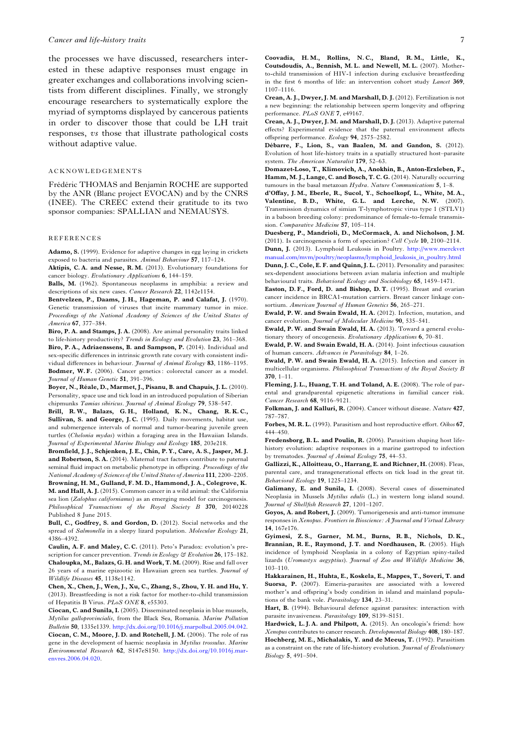<span id="page-6-0"></span>the processes we have discussed, researchers interested in these adaptive responses must engage in greater exchanges and collaborations involving scientists from different disciplines. Finally, we strongly encourage researchers to systematically explore the myriad of symptoms displayed by cancerous patients in order to discover those that could be LH trait responses, vs those that illustrate pathological costs without adaptive value.

#### ACKNOWLEDGEMENTS

Frédéric THOMAS and Benjamin ROCHE are supported by the ANR (Blanc project EVOCAN) and by the CNRS (INEE). The CREEC extend their gratitude to its two sponsor companies: SPALLIAN and NEMAUSYS.

#### REFERENCES

Adamo, S. (1999). Evidence for adaptive changes in egg laying in crickets exposed to bacteria and parasites. Animal Behaviour 57, 117–124.

Aktipis, C. A. and Nesse, R. M. (2013). Evolutionary foundations for cancer biology. Evolutionary Applications 6, 144–159.

Balls, M. (1962). Spontaneous neoplasms in amphibia: a review and descriptions of six new cases. Cancer Research 22, 1142e1154.

Bentvelzen, P., Daams, J. H., Hageman, P. and Calafat, J. (1970). Genetic transmission of viruses that incite mammary tumor in mice. Proceedings of the National Academy of Sciences of the United States of America 67, 377–384.

Biro, P. A. and Stamps, J. A. (2008). Are animal personality traits linked to life-history productivity? Trends in Ecology and Evolution 23, 361–368. Biro, P. A., Adriaenssens, B. and Sampson, P. (2014). Individual and sex-specific differences in intrinsic growth rate covary with consistent individual differences in behaviour. Journal of Animal Ecology 83, 1186-1195. Bodmer, W.F. (2006). Cancer genetics: colorectal cancer as a model. Journal of Human Genetic 51, 391–396.

Boyer, N., Réale, D., Marmet, J., Pisanu, B. and Chapuis, J. L. (2010). Personality, space use and tick load in an introduced population of Siberian chipmunks Tamias sibiricus. Journal of Animal Ecology 79, 538–547.

Brill, R. W., Balazs, G. H., Holland, K. N., Chang, R. K. C., Sullivan, S. and George, J.C. (1995). Daily movements, habitat use, and submergence intervals of normal and tumor-bearing juvenile green turtles (Chelonia mydas) within a foraging area in the Hawaiian Islands. Journal of Experimental Marine Biology and Ecology 185, 203e218.

Bromfield, J. J., Schjenken, J. E., Chin, P. Y., Care, A. S., Jasper, M. J. and Robertson, S. A. (2014). Maternal tract factors contribute to paternal seminal fluid impact on metabolic phenotype in offspring. Proceedings of the National Academy of Sciences of the United States of America 111, 2200–2205. Browning, H. M., Gulland, F. M. D., Hammond, J. A., Colegrove, K. M. and Hall, A. J. (2015). Common cancer in a wild animal: the California sea lion (Zalophus californianus) as an emerging model for carcinogenesis. Philosophical Transactions of the Royal Society B 370, 20140228 Published 8 June 2015.

Bull, C., Godfrey, S. and Gordon, D. (2012). Social networks and the spread of Salmonella in a sleepy lizard population. Molecular Ecology 21, 4386–4392.

Caulin, A. F. and Maley, C. C. (2011). Peto's Paradox: evolution's prescription for cancer prevention. Trends in Ecology  $\Im$  Evolution 26, 175–182. Chaloupka, M., Balazs, G. H. and Work, T. M. (2009). Rise and fall over 26 years of a marine epizootic in Hawaiian green sea turtles. Journal of Wildlife Diseases 45, 1138e1142.

Chen, X., Chen, J., Wen, J., Xu, C., Zhang, S., Zhou, Y. H. and Hu, Y. (2013). Breastfeeding is not a risk factor for mother-to-child transmission of Hepatitis B Virus. PLoS ONE 8, e55303.

Ciocan, C. and Sunila, I. (2005). Disseminated neoplasia in blue mussels, Mytilus galloprovincialis, from the Black Sea, Romania. Marine Pollution Bulletin 50, 1335e1339. [http://dx.doi.org/10.1016/j.marpolbul.2005.04.042.](http://dx.doi.org/10.1016/j.marpolbul.2005.04.042) Ciocan, C. M., Moore, J. D. and Rotchell, J. M. (2006). The role of ras gene in the development of haemic neoplasia in Mytilus trossulus. Marine Environmental Research 62, S147eS150. [http://dx.doi.org/10.1016j.mar](http://dx.doi.org/10.1016j.marenvres.2006.04.020)[envres.2006.04.020](http://dx.doi.org/10.1016j.marenvres.2006.04.020).

Coovadia, H. M., Rollins, N. C., Bland, R. M., Little, K., Coutsdoudis, A., Bennish, M. L. and Newell, M. L. (2007). Motherto-child transmission of HIV-1 infection during exclusive breastfeeding in the first 6 months of life: an intervention cohort study Lancet 369, 1107–1116.

Crean, A. J., Dwyer, J. M. and Marshall, D. J. (2012). Fertilization is not a new beginning: the relationship between sperm longevity and offspring performance. PLoS ONE 7, e49167.

Crean, A. J., Dwyer, J. M. and Marshall, D. J. (2013). Adaptive paternal effects? Experimental evidence that the paternal environment affects offspring performance. Ecology 94, 2575–2582.

Débarre, F., Lion, S., van Baalen, M. and Gandon, S. (2012). Evolution of host life-history traits in a spatially structured host–parasite system. The American Naturalist 179, 52–63.

Domazet-Loso, T., Klimovich, A., Anokhin, B., Anton-Erxleben, F., Hamm, M. J., Lange, C. and Bosch, T. C. G. (2014). Naturally occurring tumours in the basal metazoan Hydra. Nature Communications 5, 1–8.

d'Offay, J. M., Eberle, R., Sucol, Y., Schoelkopf, L., White, M. A., Valentine, B.D., White, G.L. and Lerche, N.W. (2007). Transmission dynamics of simian T-lymphotropic virus type 1 (STLV1) in a baboon breeding colony: predominance of female-to-female transmission. Comparative Medicine 57, 105–114.

Duesberg, P., Mandrioli, D., McCormack, A. and Nicholson, J. M. (2011). Is carcinogenesis a form of speciation? Cell Cycle 10, 2100–2114.

Dunn, J. (2013). Lymphoid Leukosis in Poultry. [http://www.merckvet](http://www.merckvetmanual.com/mvm/poultry/neoplasms/lymphoid_leukosis_in_poultry.html) [manual.com/mvm/poultry/neoplasms/lymphoid\\_leukosis\\_in\\_poultry.html](http://www.merckvetmanual.com/mvm/poultry/neoplasms/lymphoid_leukosis_in_poultry.html) Dunn, J. C., Cole, E. F. and Quinn, J. L. (2011). Personality and parasites:

sex-dependent associations between avian malaria infection and multiple behavioural traits. Behavioral Ecology and Sociobiology 65, 1459–1471.

Easton, D. F., Ford, D. and Bishop, D. T. (1995). Breast and ovarian cancer incidence in BRCA1-mutation carriers. Breast cancer linkage consortium. American Journal of Human Genetics 56, 265-271.

Ewald, P. W. and Swain Ewald, H. A. (2012). Infection, mutation, and cancer evolution. Journal of Molecular Medicine 90, 535-541.

Ewald, P. W. and Swain Ewald, H. A. (2013). Toward a general evolutionary theory of oncogenesis. Evolutionary Applications 6, 70–81.

Ewald, P. W. and Swain Ewald, H. A. (2014). Joint infectious causation of human cancers. Advances in Parasitology 84, 1–26.

Ewald, P. W. and Swain Ewald, H. A. (2015). Infection and cancer in multicellular organisms. Philosophical Transactions of the Royal Society B 370, 1–11.

Fleming, J. L., Huang, T. H. and Toland, A. E. (2008). The role of parental and grandparental epigenetic alterations in familial cancer risk. Cancer Research 68, 9116–9121.

Folkman, J. and Kalluri, R. (2004). Cancer without disease. Nature 427, 787–787.

Forbes, M. R. L. (1993). Parasitism and host reproductive effort. Oikos 67, 444–450.

Fredensborg, B.L. and Poulin, R. (2006). Parasitism shaping host lifehistory evolution: adaptive responses in a marine gastropod to infection by trematodes. Journal of Animal Ecology 75, 44–53.

Gallizzi, K., Alloitteau, O., Harrang, E. and Richner, H. (2008). Fleas, parental care, and transgenerational effects on tick load in the great tit. Behavioral Ecology 19, 1225–1234.

Galimany, E. and Sunila, I. (2008). Several cases of disseminated Neoplasia in Mussels Mytilus edulis (L.) in western long island sound. Journal of Shellfish Research 27, 1201–1207.

Goyos, A. and Robert, J. (2009). Tumorigenesis and anti-tumor immune responses in Xenopus. Frontiers in Bioscience: A Journal and Virtual Library 14, 167e176.

Gyimesi, Z. S., Garner, M. M., Burns, R. B., Nichols, D. K., Brannian, R. E., Raymond, J. T. and Nordhausen, R. (2005). High incidence of lymphoid Neoplasia in a colony of Egyptian spiny-tailed lizards (Uromastyx aegyptius). Journal of Zoo and Wildlife Medicine 36, 103–110.

Hakkarainen, H., Huhta, E., Koskela, E., Mappes, T., Soveri, T. and Suorsa, P. (2007). Eimeria-parasites are associated with a lowered mother's and offspring's body condition in island and mainland populations of the bank vole. Parasitology 134, 23–31.

Hart, B. (1994). Behavioural defence against parasites: interaction with parasite invasiveness. Parasitology 109, S139–S151.

Hardwick, L.J.A. and Philpott, A. (2015). An oncologis's friend: how Xenopus contributes to cancer research. Developmental Biology 408, 180–187. Hochberg, M. E., Michalakis, Y. and de Meeus, T. (1992). Parasitism as a constraint on the rate of life-history evolution. *Journal of Evolutionary* Biology 5, 491–504.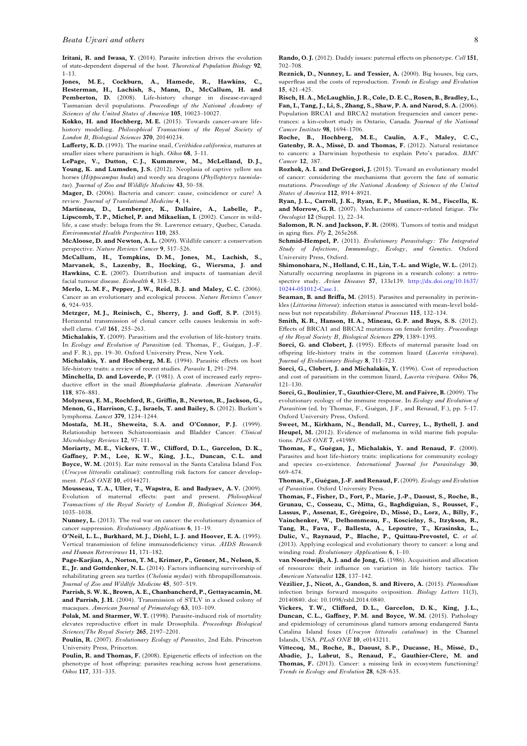<span id="page-7-0"></span>Iritani, R. and Iwasa, Y. (2014). Parasite infection drives the evolution of state-dependent dispersal of the host. Theoretical Population Biology 92,  $1-13$ .

Jones, M. E., Cockburn, A., Hamede, R., Hawkins, C., Hesterman, H., Lachish, S., Mann, D., McCallum, H. and Pemberton, D. (2008). Life-history change in disease-ravaged Tasmanian devil populations. Proceedings of the National Academy of Sciences of the United States of America 105, 10023–10027.

Kokko, H. and Hochberg, M. E. (2015). Towards cancer-aware lifehistory modelling. Philosophical Transactions of the Royal Society of London B, Biological Sciences 370, 20140234.

Lafferty, K. D. (1993). The marine snail, Cerithidea californica, matures at smaller sizes where parasitism is high. Oikos 68, 3-11.

LePage, V., Dutton, C.J., Kummrow, M., McLelland, D.J., Young, K. and Lumsden, J. S. (2012). Neoplasia of captive yellow sea horses (Hippocampus kuda) and weedy sea dragons (Phyllopteryx taeniolatus). Journal of Zoo and Wildlife Medicine 43, 50-58.

Mager, D. (2006). Bacteria and cancer: cause, coincidence or cure? A review. *Journal of Translational Medicine* 4, 14.

Martineau, D., Lemberger, K., Dallaire, A., Labelle, P., Lipscomb, T. P., Michel, P. and Mikaelian, I. (2002). Cancer in wildlife, a case study: beluga from the St. Lawrence estuary, Quebec, Canada. Environmental Health Perspectives 110, 285.

McAloose, D. and Newton, A. L. (2009). Wildlife cancer: a conservation perspective. Nature Reviews Cancer 9, 517–526.

McCallum, H., Tompkins, D. M., Jones, M., Lachish, S., Marvanek, S., Lazenby, B., Hocking, G., Wiersma, J. and Hawkins, C. E. (2007). Distribution and impacts of tasmanian devil facial tumour disease. Ecohealth 4, 318–325.

Merlo, L. M. F., Pepper, J. W., Reid, B. J. and Maley, C. C. (2006). Cancer as an evolutionary and ecological process. Nature Reviews Cancer 6, 924–935.

Metzger, M. J., Reinisch, C., Sherry, J. and Goff, S. P. (2015). Horizontal transmission of clonal cancer cells causes leukemia in softshell clams. Cell 161, 255–263.

Michalakis, Y. (2009). Parasitism and the evolution of life-history traits. In Ecology and Evolution of Parasitism (ed. Thomas, F., Guégan, J.-F. and F. R.), pp. 19–30. Oxford University Press, New York.

Michalakis, Y. and Hochberg, M. E. (1994). Parasitic effects on host life-history traits: a review of recent studies. Parasite 1, 291–294.

Minchella, D. and Loverde, P. (1981). A cost of increased early reproductive effort in the snail Biomphalaria glabrata. American Naturalist 118, 876–881.

Molyneux, E. M., Rochford, R., Griffin, B., Newton, R., Jackson, G., Menon, G., Harrison, C. J., Israels, T. and Bailey, S. (2012). Burkitt's lymphoma. Lancet 379, 1234–1244.

Mostafa, M.H., Sheweita, S.A. and O'Connor, P.J. (1999). Relationship between Schistosomiasis and Bladder Cancer. Clinical Microbiology Reviews 12, 97–111.

Moriarty, M. E., Vickers, T. W., Clifford, D. L., Garcelon, D. K., Gaffney, P. M., Lee, K. W., King, J. L., Duncan, C. L. and Boyce, W. M. (2015). Ear mite removal in the Santa Catalina Island Fox (Urocyon littoralis catalinae): controlling risk factors for cancer development. PLoS ONE 10, e0144271.

Mousseau, T. A., Uller, T., Wapstra, E. and Badyaev, A. V. (2009). Evolution of maternal effects: past and present. Philosophical Transactions of the Royal Society of London B, Biological Sciences 364, 1035–1038.

Nunney, L. (2013). The real war on cancer: the evolutionary dynamics of cancer suppression. Evolutionary Applications 6, 11–19.

O'Neil, L. L., Burkhard, M. J., Diehl, L. J. and Hoover, E. A. (1995). Vertical transmission of feline immunodeficiency virus. AIDS Research and Human Retroviruses 11, 171–182.

Page-Karjian, A., Norton, T. M., Krimer, P., Groner, M., Nelson, S. E., Jr. and Gottdenker, N. L. (2014). Factors influencing survivorship of rehabilitating green sea turtles (Chelonia mydas) with fibropapillomatosis. Journal of Zoo and Wildlife Medicine 45, 507–519.

Parrish, S. W. K., Brown, A. E., Chanbancherd, P., Gettayacamin, M. and Parrish, J. H. (2004). Transmission of STLV in a closed colony of macaques. American Journal of Primatology 63, 103-109.

Polak, M. and Starmer, W. T. (1998). Parasite-induced risk of mortality elevates reproductive effort in male Drosophila. Proceedings Biological Sciences/The Royal Society 265, 2197–2201.

Poulin, R. (2007). Evolutionary Ecology of Parasites, 2nd Edn. Princeton University Press, Princeton.

Poulin, R. and Thomas, F. (2008). Epigenetic effects of infection on the phenotype of host offspring: parasites reaching across host generations. Oikos 117, 331–335.

Reznick, D., Nunney, L. and Tessier, A. (2000). Big houses, big cars, superfleas and the costs of reproduction. Trends in Ecology and Evolution 15, 421–425.

Risch, H. A., McLaughlin, J. R., Cole, D. E. C., Rosen, B., Bradley, L., Fan, I., Tang, J., Li, S., Zhang, S., Shaw, P. A. and Narod, S. A. (2006). Population BRCA1 and BRCA2 mutation frequencies and cancer penetrances: a kin-cohort study in Ontario, Canada. Journal of the National Cancer Institute 98, 1694–1706.

Roche, B., Hochberg, M. E., Caulin, A. F., Maley, C. C., Gatenby, R. A., Missé, D. and Thomas, F. (2012). Natural resistance to cancers: a Darwinian hypothesis to explain Peto's paradox. BMC Cancer 12, 387.

Rozhok, A. I. and DeGregori, J. (2015). Toward an evolutionary model of cancer: considering the mechanisms that govern the fate of somatic mutations. Proceedings of the National Academy of Sciences of the United States of America 112, 8914-8921.

Ryan, J. L., Carroll, J. K., Ryan, E. P., Mustian, K. M., Fiscella, K. and Morrow, G. R. (2007). Mechanisms of cancer-related fatigue. The Oncologist 12 (Suppl. 1), 22–34.

Salomon, R. N. and Jackson, F. R. (2008). Tumors of testis and midgut in aging flies.  $Fly$  2, 265e268.

Schmid-Hempel, P. (2011). Evolutionary Parasitology: The Integrated Study of Infections, Immunology, Ecology, and Genetics. Oxford University Press, Oxford.

Shimonohara, N., Holland, C. H., Lin, T.-L. and Wigle, W. L. (2012). Naturally occurring neoplasms in pigeons in a research colony: a retrospective study. Avian Diseases 57, 133e139. [http://dx.doi.org/10.1637/](http://dx.doi.org/10.1637/10244-051012-Case.1) [10244-051012-Case.1.](http://dx.doi.org/10.1637/10244-051012-Case.1)

Seaman, B. and Briffa, M. (2015). Parasites and personality in periwinkles (Littorina littorea): infection status is associated with mean-level boldness but not repeatability. Behavioural Processes 115, 132–134.

Smith, K. R., Hanson, H. A., Mineau, G. P. and Buys, S. S. (2012). Effects of BRCA1 and BRCA2 mutations on female fertility. Proceedings of the Royal Society B, Biological Sciences 279, 1389–1395.

Sorci, G. and Clobert, J. (1995). Effects of maternal parasite load on offspring life-history traits in the common lizard (Lacerta vivipara). Journal of Evolutionary Biology 8, 711–723.

Sorci, G., Clobert, J. and Michalakis, Y. (1996). Cost of reproduction and cost of parasitism in the common lizard, Lacerta vivipara. Oikos 76, 121–130.

Sorci, G., Boulinier, T., Gauthier-Clerc, M. and Faivre, B. (2009). The evolutionary ecology of the immune response. In Ecology and Evolution of Parasitism (ed. by Thomas, F., Guégan, J.F., and Renaud, F.), pp. 5–17. Oxford University Press, Oxford.

Sweet, M., Kirkham, N., Bendall, M., Currey, L., Bythell, J. and Heupel, M. (2012). Evidence of melanoma in wild marine fish populations. PLoS ONE 7, e41989.

Thomas, F., Guégan, J., Michalakis, Y. and Renaud, F. (2000). Parasites and host life-history traits: implications for community ecology and species co-existence. International Journal for Parasitology 30, 669–674.

Thomas, F., Guégan, J.-F. and Renaud, F. (2009). Ecology and Evolution of Parasitism. Oxford University Press.

Thomas, F., Fisher, D., Fort, P., Marie, J.-P., Daoust, S., Roche, B., Grunau, C., Cosseau, C., Mitta, G., Baghdiguian, S., Rousset, F., Lassus, P., Assenat, E., Grégoire, D., Missé, D., Lorz, A., Billy, F., Vainchenker, W., Delhommeau, F., Koscielny, S., Itzykson, R., Tang, R., Fava, F., Ballesta, A., Lepoutre, T., Krasinska, L., Dulic, V., Raynaud, P., Blache, P., Quittau-Prevostel, C. et al. (2013). Applying ecological and evolutionary theory to cancer: a long and winding road. Evolutionary Applications 6, 1-10.

van Noordwijk, A. J. and de Jong, G. (1986). Acquisition and allocation of resources: their influence on variation in life history tactics. The American Naturalist 128, 137–142.

Vézilier, J., Nicot, A., Gandon, S. and Rivero, A. (2015). Plasmodium infection brings forward mosquito oviposition. Biology Letters 11(3), 20140840. doi: 10.1098/rsbl.2014.0840.

Vickers, T. W., Clifford, D. L., Garcelon, D. K., King, J. L., Duncan, C. L., Gaffney, P. M. and Boyce, W. M. (2015). Pathology and epidemiology of ceruminous gland tumors among endangered Santa Catalina Island foxes (Urocyon littoralis catalinae) in the Channel Islands, USA. PLoS ONE 10, e0143211.

Vittecoq, M., Roche, B., Daoust, S. P., Ducasse, H., Missé, D., Abadie, J., Labrut, S., Renaud, F., Gauthier-Clerc, M. and Thomas, F. (2013). Cancer: a missing link in ecosystem functioning? Trends in Ecology and Evolution 28, 628–635.